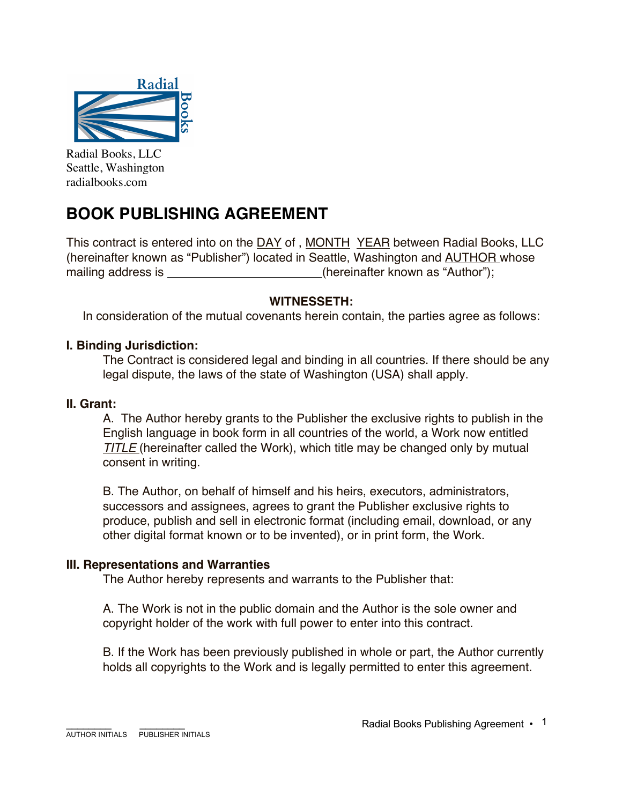

Radial Books, LLC Seattle, Washington radialbooks.com

# **BOOK PUBLISHING AGREEMENT**

This contract is entered into on the DAY of , MONTH YEAR between Radial Books, LLC (hereinafter known as "Publisher") located in Seattle, Washington and AUTHOR whose mailing address is \_\_\_\_\_\_\_\_\_\_\_\_\_\_\_\_\_\_\_\_\_\_\_\_(hereinafter known as "Author");

# **WITNESSETH:**

In consideration of the mutual covenants herein contain, the parties agree as follows:

## **I. Binding Jurisdiction:**

The Contract is considered legal and binding in all countries. If there should be any legal dispute, the laws of the state of Washington (USA) shall apply.

#### **II. Grant:**

A. The Author hereby grants to the Publisher the exclusive rights to publish in the English language in book form in all countries of the world, a Work now entitled **TITLE** (hereinafter called the Work), which title may be changed only by mutual consent in writing.

B. The Author, on behalf of himself and his heirs, executors, administrators, successors and assignees, agrees to grant the Publisher exclusive rights to produce, publish and sell in electronic format (including email, download, or any other digital format known or to be invented), or in print form, the Work.

#### **III. Representations and Warranties**

The Author hereby represents and warrants to the Publisher that:

A. The Work is not in the public domain and the Author is the sole owner and copyright holder of the work with full power to enter into this contract.

B. If the Work has been previously published in whole or part, the Author currently holds all copyrights to the Work and is legally permitted to enter this agreement.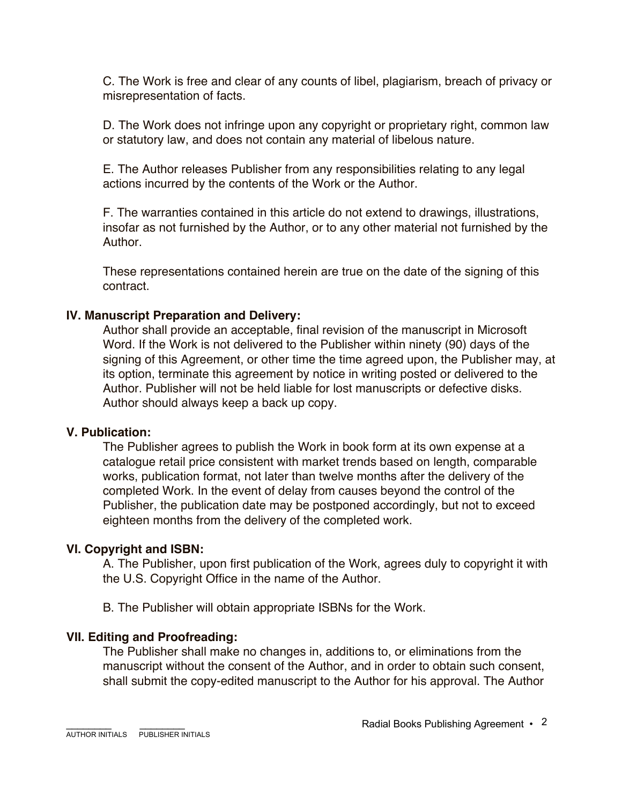C. The Work is free and clear of any counts of libel, plagiarism, breach of privacy or misrepresentation of facts.

D. The Work does not infringe upon any copyright or proprietary right, common law or statutory law, and does not contain any material of libelous nature.

E. The Author releases Publisher from any responsibilities relating to any legal actions incurred by the contents of the Work or the Author.

F. The warranties contained in this article do not extend to drawings, illustrations, insofar as not furnished by the Author, or to any other material not furnished by the Author.

These representations contained herein are true on the date of the signing of this contract.

# **IV. Manuscript Preparation and Delivery:**

Author shall provide an acceptable, final revision of the manuscript in Microsoft Word. If the Work is not delivered to the Publisher within ninety (90) days of the signing of this Agreement, or other time the time agreed upon, the Publisher may, at its option, terminate this agreement by notice in writing posted or delivered to the Author. Publisher will not be held liable for lost manuscripts or defective disks. Author should always keep a back up copy.

## **V. Publication:**

The Publisher agrees to publish the Work in book form at its own expense at a catalogue retail price consistent with market trends based on length, comparable works, publication format, not later than twelve months after the delivery of the completed Work. In the event of delay from causes beyond the control of the Publisher, the publication date may be postponed accordingly, but not to exceed eighteen months from the delivery of the completed work.

# **VI. Copyright and ISBN:**

A. The Publisher, upon first publication of the Work, agrees duly to copyright it with the U.S. Copyright Office in the name of the Author.

B. The Publisher will obtain appropriate ISBNs for the Work.

# **VII. Editing and Proofreading:**

The Publisher shall make no changes in, additions to, or eliminations from the manuscript without the consent of the Author, and in order to obtain such consent, shall submit the copy-edited manuscript to the Author for his approval. The Author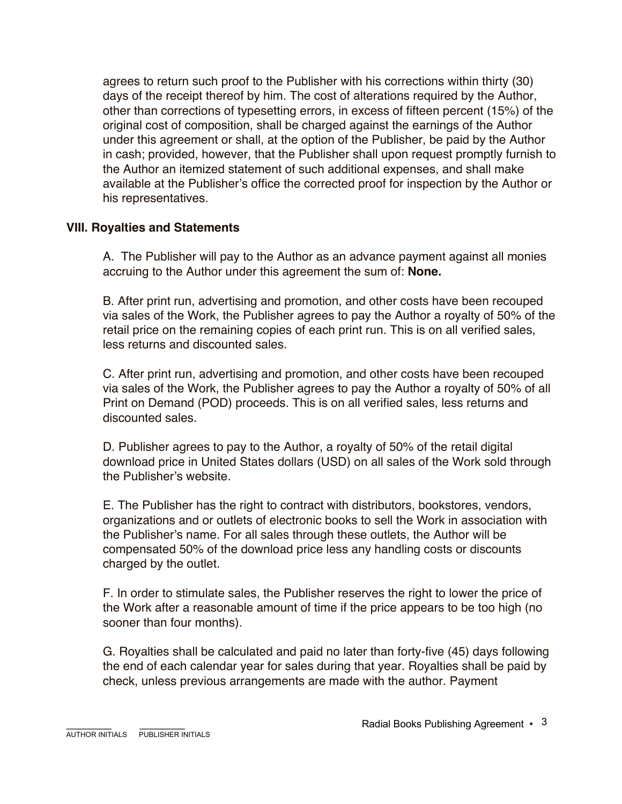agrees to return such proof to the Publisher with his corrections within thirty (30) days of the receipt thereof by him. The cost of alterations required by the Author, other than corrections of typesetting errors, in excess of fifteen percent (15%) of the original cost of composition, shall be charged against the earnings of the Author under this agreement or shall, at the option of the Publisher, be paid by the Author in cash; provided, however, that the Publisher shall upon request promptly furnish to the Author an itemized statement of such additional expenses, and shall make available at the Publisher's office the corrected proof for inspection by the Author or his representatives.

## **VIII. Royalties and Statements**

A. The Publisher will pay to the Author as an advance payment against all monies accruing to the Author under this agreement the sum of: **None.**

B. After print run, advertising and promotion, and other costs have been recouped via sales of the Work, the Publisher agrees to pay the Author a royalty of 50% of the retail price on the remaining copies of each print run. This is on all verified sales, less returns and discounted sales.

C. After print run, advertising and promotion, and other costs have been recouped via sales of the Work, the Publisher agrees to pay the Author a royalty of 50% of all Print on Demand (POD) proceeds. This is on all verified sales, less returns and discounted sales.

D. Publisher agrees to pay to the Author, a royalty of 50% of the retail digital download price in United States dollars (USD) on all sales of the Work sold through the Publisher's website.

E. The Publisher has the right to contract with distributors, bookstores, vendors, organizations and or outlets of electronic books to sell the Work in association with the Publisher's name. For all sales through these outlets, the Author will be compensated 50% of the download price less any handling costs or discounts charged by the outlet.

F. In order to stimulate sales, the Publisher reserves the right to lower the price of the Work after a reasonable amount of time if the price appears to be too high (no sooner than four months).

G. Royalties shall be calculated and paid no later than forty-five (45) days following the end of each calendar year for sales during that year. Royalties shall be paid by check, unless previous arrangements are made with the author. Payment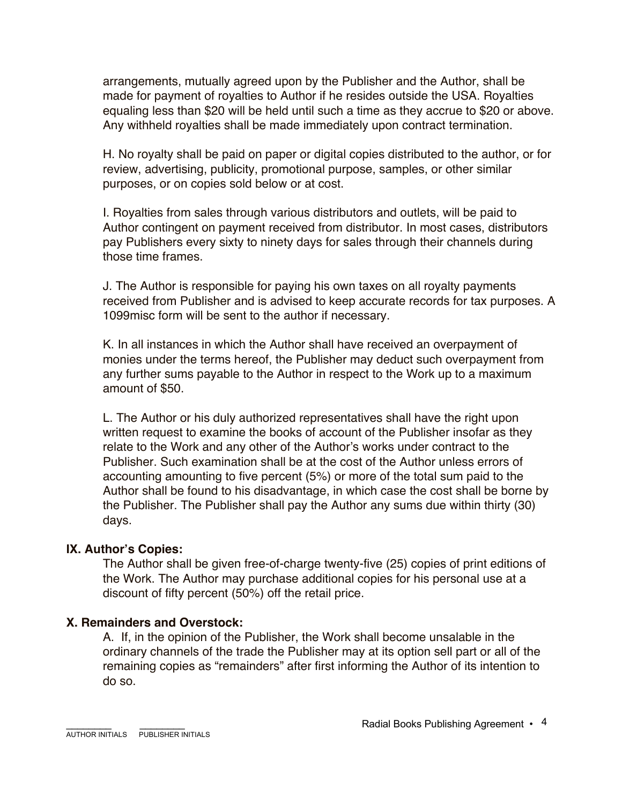arrangements, mutually agreed upon by the Publisher and the Author, shall be made for payment of royalties to Author if he resides outside the USA. Royalties equaling less than \$20 will be held until such a time as they accrue to \$20 or above. Any withheld royalties shall be made immediately upon contract termination.

H. No royalty shall be paid on paper or digital copies distributed to the author, or for review, advertising, publicity, promotional purpose, samples, or other similar purposes, or on copies sold below or at cost.

I. Royalties from sales through various distributors and outlets, will be paid to Author contingent on payment received from distributor. In most cases, distributors pay Publishers every sixty to ninety days for sales through their channels during those time frames.

J. The Author is responsible for paying his own taxes on all royalty payments received from Publisher and is advised to keep accurate records for tax purposes. A 1099misc form will be sent to the author if necessary.

K. In all instances in which the Author shall have received an overpayment of monies under the terms hereof, the Publisher may deduct such overpayment from any further sums payable to the Author in respect to the Work up to a maximum amount of \$50.

L. The Author or his duly authorized representatives shall have the right upon written request to examine the books of account of the Publisher insofar as they relate to the Work and any other of the Author's works under contract to the Publisher. Such examination shall be at the cost of the Author unless errors of accounting amounting to five percent (5%) or more of the total sum paid to the Author shall be found to his disadvantage, in which case the cost shall be borne by the Publisher. The Publisher shall pay the Author any sums due within thirty (30) days.

#### **IX. Author's Copies:**

The Author shall be given free-of-charge twenty-five (25) copies of print editions of the Work. The Author may purchase additional copies for his personal use at a discount of fifty percent (50%) off the retail price.

## **X. Remainders and Overstock:**

A. If, in the opinion of the Publisher, the Work shall become unsalable in the ordinary channels of the trade the Publisher may at its option sell part or all of the remaining copies as "remainders" after first informing the Author of its intention to do so.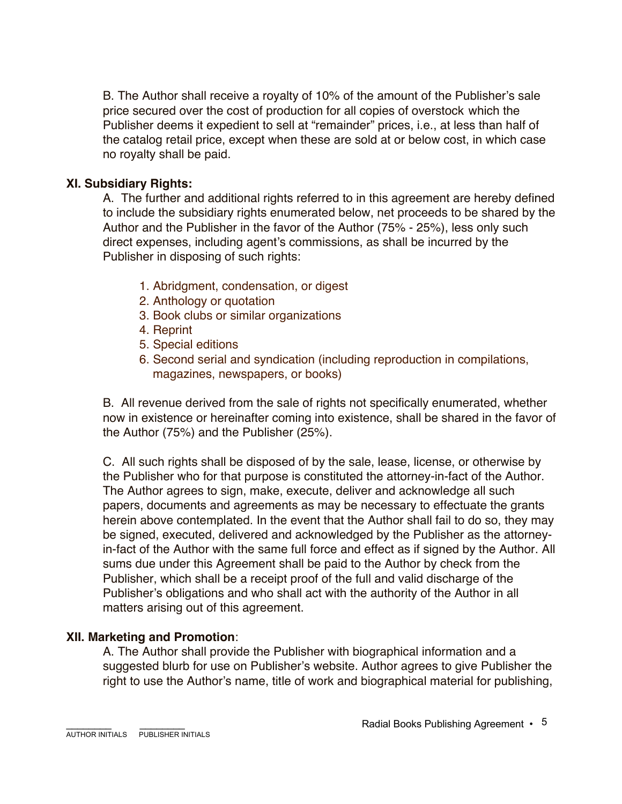B. The Author shall receive a royalty of 10% of the amount of the Publisher's sale price secured over the cost of production for all copies of overstock which the Publisher deems it expedient to sell at "remainder" prices, i.e., at less than half of the catalog retail price, except when these are sold at or below cost, in which case no royalty shall be paid.

# **XI. Subsidiary Rights:**

A. The further and additional rights referred to in this agreement are hereby defined to include the subsidiary rights enumerated below, net proceeds to be shared by the Author and the Publisher in the favor of the Author (75% - 25%), less only such direct expenses, including agent's commissions, as shall be incurred by the Publisher in disposing of such rights:

- 1. Abridgment, condensation, or digest
- 2. Anthology or quotation
- 3. Book clubs or similar organizations
- 4. Reprint
- 5. Special editions
- 6. Second serial and syndication (including reproduction in compilations, magazines, newspapers, or books)

B. All revenue derived from the sale of rights not specifically enumerated, whether now in existence or hereinafter coming into existence, shall be shared in the favor of the Author (75%) and the Publisher (25%).

C. All such rights shall be disposed of by the sale, lease, license, or otherwise by the Publisher who for that purpose is constituted the attorney-in-fact of the Author. The Author agrees to sign, make, execute, deliver and acknowledge all such papers, documents and agreements as may be necessary to effectuate the grants herein above contemplated. In the event that the Author shall fail to do so, they may be signed, executed, delivered and acknowledged by the Publisher as the attorneyin-fact of the Author with the same full force and effect as if signed by the Author. All sums due under this Agreement shall be paid to the Author by check from the Publisher, which shall be a receipt proof of the full and valid discharge of the Publisher's obligations and who shall act with the authority of the Author in all matters arising out of this agreement.

## **XII. Marketing and Promotion**:

A. The Author shall provide the Publisher with biographical information and a suggested blurb for use on Publisher's website. Author agrees to give Publisher the right to use the Author's name, title of work and biographical material for publishing,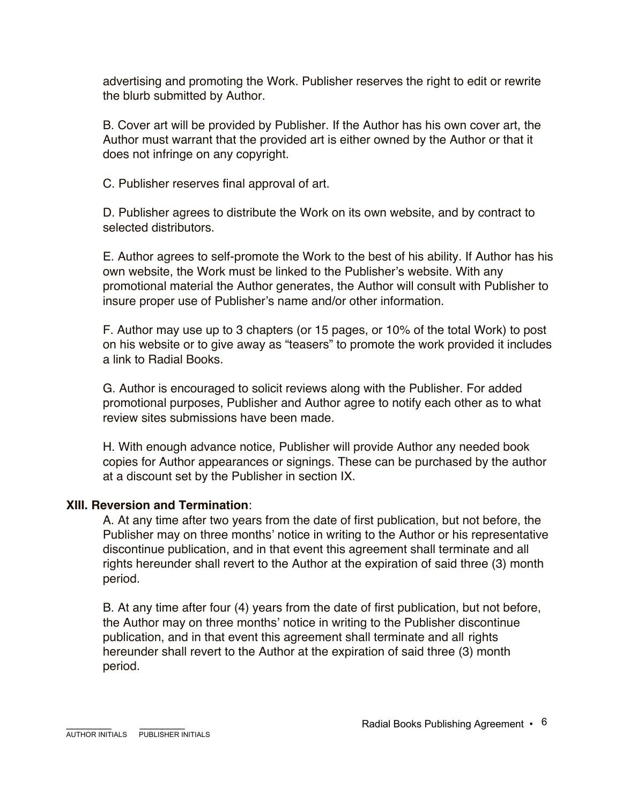advertising and promoting the Work. Publisher reserves the right to edit or rewrite the blurb submitted by Author.

B. Cover art will be provided by Publisher. If the Author has his own cover art, the Author must warrant that the provided art is either owned by the Author or that it does not infringe on any copyright.

C. Publisher reserves final approval of art.

D. Publisher agrees to distribute the Work on its own website, and by contract to selected distributors.

E. Author agrees to self-promote the Work to the best of his ability. If Author has his own website, the Work must be linked to the Publisher's website. With any promotional material the Author generates, the Author will consult with Publisher to insure proper use of Publisher's name and/or other information.

F. Author may use up to 3 chapters (or 15 pages, or 10% of the total Work) to post on his website or to give away as "teasers" to promote the work provided it includes a link to Radial Books.

G. Author is encouraged to solicit reviews along with the Publisher. For added promotional purposes, Publisher and Author agree to notify each other as to what review sites submissions have been made.

H. With enough advance notice, Publisher will provide Author any needed book copies for Author appearances or signings. These can be purchased by the author at a discount set by the Publisher in section IX.

## **XIII. Reversion and Termination**:

A. At any time after two years from the date of first publication, but not before, the Publisher may on three months' notice in writing to the Author or his representative discontinue publication, and in that event this agreement shall terminate and all rights hereunder shall revert to the Author at the expiration of said three (3) month period.

B. At any time after four (4) years from the date of first publication, but not before, the Author may on three months' notice in writing to the Publisher discontinue publication, and in that event this agreement shall terminate and all rights hereunder shall revert to the Author at the expiration of said three (3) month period.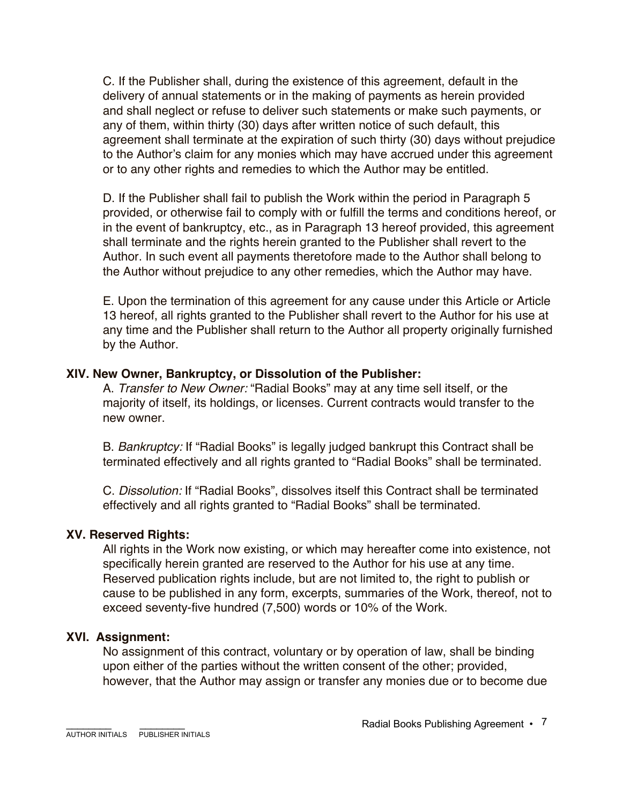C. If the Publisher shall, during the existence of this agreement, default in the delivery of annual statements or in the making of payments as herein provided and shall neglect or refuse to deliver such statements or make such payments, or any of them, within thirty (30) days after written notice of such default, this agreement shall terminate at the expiration of such thirty (30) days without prejudice to the Author's claim for any monies which may have accrued under this agreement or to any other rights and remedies to which the Author may be entitled.

D. If the Publisher shall fail to publish the Work within the period in Paragraph 5 provided, or otherwise fail to comply with or fulfill the terms and conditions hereof, or in the event of bankruptcy, etc., as in Paragraph 13 hereof provided, this agreement shall terminate and the rights herein granted to the Publisher shall revert to the Author. In such event all payments theretofore made to the Author shall belong to the Author without prejudice to any other remedies, which the Author may have.

E. Upon the termination of this agreement for any cause under this Article or Article 13 hereof, all rights granted to the Publisher shall revert to the Author for his use at any time and the Publisher shall return to the Author all property originally furnished by the Author.

#### **XIV. New Owner, Bankruptcy, or Dissolution of the Publisher:**

A. *Transfer to New Owner:* "Radial Books" may at any time sell itself, or the majority of itself, its holdings, or licenses. Current contracts would transfer to the new owner.

B. *Bankruptcy:* If "Radial Books" is legally judged bankrupt this Contract shall be terminated effectively and all rights granted to "Radial Books" shall be terminated.

C. *Dissolution:* If "Radial Books", dissolves itself this Contract shall be terminated effectively and all rights granted to "Radial Books" shall be terminated.

## **XV. Reserved Rights:**

All rights in the Work now existing, or which may hereafter come into existence, not specifically herein granted are reserved to the Author for his use at any time. Reserved publication rights include, but are not limited to, the right to publish or cause to be published in any form, excerpts, summaries of the Work, thereof, not to exceed seventy-five hundred (7,500) words or 10% of the Work.

## **XVI. Assignment:**

No assignment of this contract, voluntary or by operation of law, shall be binding upon either of the parties without the written consent of the other; provided, however, that the Author may assign or transfer any monies due or to become due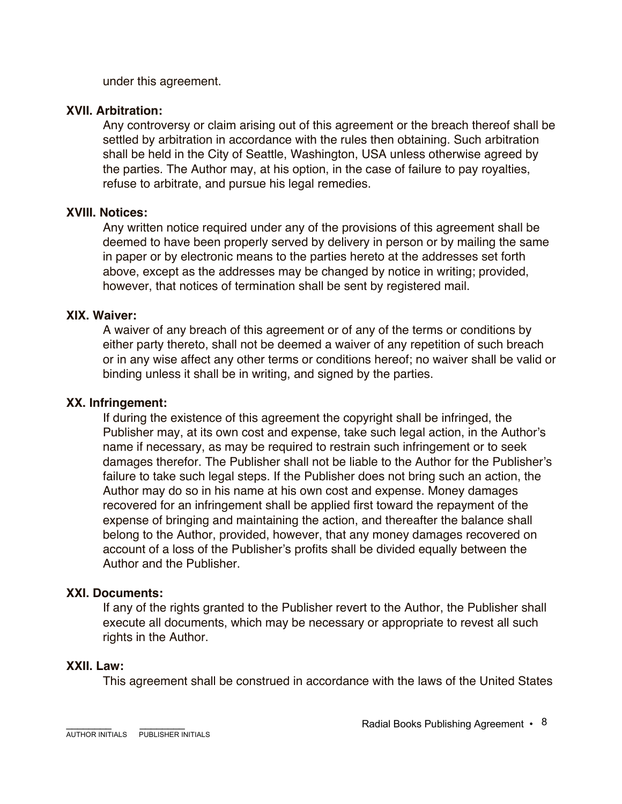under this agreement.

## **XVII. Arbitration:**

Any controversy or claim arising out of this agreement or the breach thereof shall be settled by arbitration in accordance with the rules then obtaining. Such arbitration shall be held in the City of Seattle, Washington, USA unless otherwise agreed by the parties. The Author may, at his option, in the case of failure to pay royalties, refuse to arbitrate, and pursue his legal remedies.

#### **XVIII. Notices:**

Any written notice required under any of the provisions of this agreement shall be deemed to have been properly served by delivery in person or by mailing the same in paper or by electronic means to the parties hereto at the addresses set forth above, except as the addresses may be changed by notice in writing; provided, however, that notices of termination shall be sent by registered mail.

#### **XIX. Waiver:**

A waiver of any breach of this agreement or of any of the terms or conditions by either party thereto, shall not be deemed a waiver of any repetition of such breach or in any wise affect any other terms or conditions hereof; no waiver shall be valid or binding unless it shall be in writing, and signed by the parties.

#### **XX. Infringement:**

If during the existence of this agreement the copyright shall be infringed, the Publisher may, at its own cost and expense, take such legal action, in the Author's name if necessary, as may be required to restrain such infringement or to seek damages therefor. The Publisher shall not be liable to the Author for the Publisher's failure to take such legal steps. If the Publisher does not bring such an action, the Author may do so in his name at his own cost and expense. Money damages recovered for an infringement shall be applied first toward the repayment of the expense of bringing and maintaining the action, and thereafter the balance shall belong to the Author, provided, however, that any money damages recovered on account of a loss of the Publisher's profits shall be divided equally between the Author and the Publisher.

## **XXI. Documents:**

If any of the rights granted to the Publisher revert to the Author, the Publisher shall execute all documents, which may be necessary or appropriate to revest all such rights in the Author.

#### **XXII. Law:**

This agreement shall be construed in accordance with the laws of the United States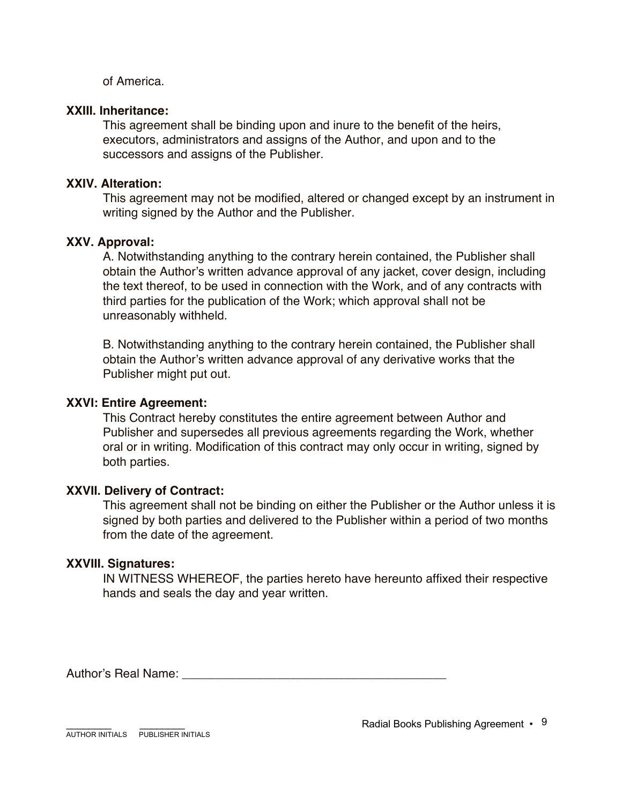of America.

#### **XXIII. Inheritance:**

This agreement shall be binding upon and inure to the benefit of the heirs, executors, administrators and assigns of the Author, and upon and to the successors and assigns of the Publisher.

## **XXIV. Alteration:**

This agreement may not be modified, altered or changed except by an instrument in writing signed by the Author and the Publisher.

#### **XXV. Approval:**

A. Notwithstanding anything to the contrary herein contained, the Publisher shall obtain the Author's written advance approval of any jacket, cover design, including the text thereof, to be used in connection with the Work, and of any contracts with third parties for the publication of the Work; which approval shall not be unreasonably withheld.

B. Notwithstanding anything to the contrary herein contained, the Publisher shall obtain the Author's written advance approval of any derivative works that the Publisher might put out.

#### **XXVI: Entire Agreement:**

This Contract hereby constitutes the entire agreement between Author and Publisher and supersedes all previous agreements regarding the Work, whether oral or in writing. Modification of this contract may only occur in writing, signed by both parties.

## **XXVII. Delivery of Contract:**

This agreement shall not be binding on either the Publisher or the Author unless it is signed by both parties and delivered to the Publisher within a period of two months from the date of the agreement.

#### **XXVIII. Signatures:**

IN WITNESS WHEREOF, the parties hereto have hereunto affixed their respective hands and seals the day and year written.

Author's Real Name: **Authority** Real Alexander **Authority** Real Alexander **Authority** Real Alexander *Authority* Real Alexander *Authority* Real Alexander *Authority* Real Alexander *Authority* Real Alexander *Authority* R